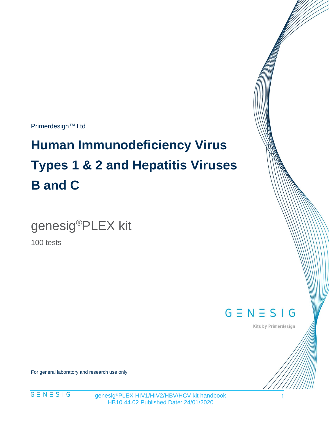Primerdesign™ Ltd

# **Human Immunodeficiency Virus Types 1 & 2 and Hepatitis Viruses B and C**

genesig®PLEX kit

100 tests

 $G \equiv N \equiv S \mid G$ 

Kits by Primerdesign

For general laboratory and research use only



genesig®PLEX HIV1/HIV2/HBV/HCV kit handbook HB10.44.02 Published Date: 24/01/2020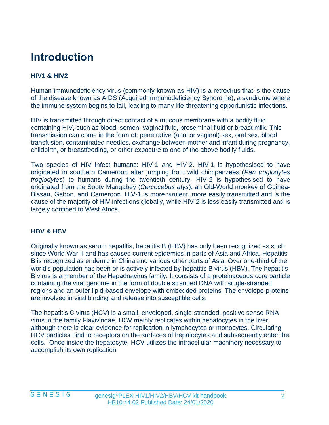# **Introduction**

#### **HIV1 & HIV2**

Human immunodeficiency virus (commonly known as HIV) is a retrovirus that is the cause of the disease known as AIDS (Acquired Immunodeficiency Syndrome), a syndrome where the immune system begins to fail, leading to many life-threatening opportunistic infections.

HIV is transmitted through direct contact of a mucous membrane with a bodily fluid containing HIV, such as blood, semen, vaginal fluid, preseminal fluid or breast milk. This transmission can come in the form of: penetrative (anal or vaginal) sex, oral sex, blood transfusion, contaminated needles, exchange between mother and infant during pregnancy, childbirth, or breastfeeding, or other exposure to one of the above bodily fluids.

Two species of HIV infect humans: HIV-1 and HIV-2. HIV-1 is hypothesised to have originated in southern Cameroon after jumping from wild chimpanzees (*Pan troglodytes troglodytes*) to humans during the twentieth century. HIV-2 is hypothesised to have originated from the Sooty Mangabey (*Cercocebus atys*), an Old-World monkey of Guinea-Bissau, Gabon, and Cameroon. HIV-1 is more virulent, more easily transmitted and is the cause of the majority of HIV infections globally, while HIV-2 is less easily transmitted and is largely confined to West Africa.

#### **HBV & HCV**

Originally known as serum hepatitis, hepatitis B (HBV) has only been recognized as such since World War II and has caused current epidemics in parts of Asia and Africa. Hepatitis B is recognized as endemic in China and various other parts of Asia. Over one-third of the world's population has been or is actively infected by hepatitis B virus (HBV). The hepatitis B virus is a member of the Hepadnavirus family. It consists of a proteinaceous core particle containing the viral genome in the form of double stranded DNA with single-stranded regions and an outer lipid-based envelope with embedded proteins. The envelope proteins are involved in viral binding and release into susceptible cells.

The hepatitis C virus (HCV) is a small, enveloped, single-stranded, positive sense RNA virus in the family Flaviviridae. HCV mainly replicates within hepatocytes in the liver, although there is clear evidence for replication in lymphocytes or monocytes. Circulating HCV particles bind to receptors on the surfaces of hepatocytes and subsequently enter the cells. Once inside the hepatocyte, HCV utilizes the intracellular machinery necessary to accomplish its own replication.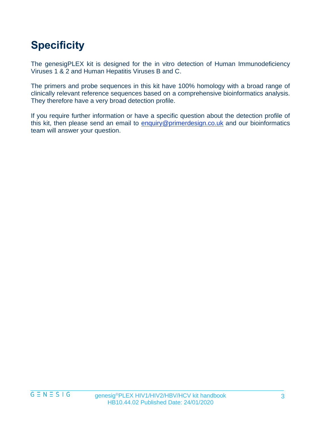# **Specificity**

The genesigPLEX kit is designed for the in vitro detection of Human Immunodeficiency Viruses 1 & 2 and Human Hepatitis Viruses B and C.

The primers and probe sequences in this kit have 100% homology with a broad range of clinically relevant reference sequences based on a comprehensive bioinformatics analysis. They therefore have a very broad detection profile.

If you require further information or have a specific question about the detection profile of this kit, then please send an email to [enquiry@primerdesign.co.uk](mailto:enquiry@primerdesign.co.uk) and our bioinformatics team will answer your question.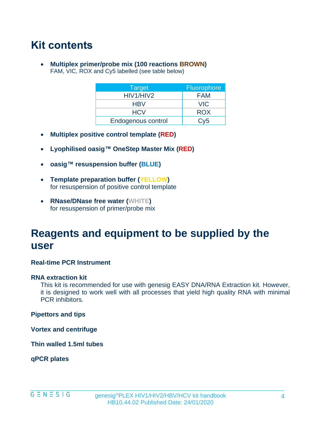# **Kit contents**

• **Multiplex primer/probe mix (100 reactions BROWN)** FAM, VIC, ROX and Cy5 labelled (see table below)

| <b>Target</b>      | <b>Fluorophore</b> |
|--------------------|--------------------|
| HIV1/HIV2          | <b>FAM</b>         |
| <b>HBV</b>         | <b>VIC</b>         |
| <b>HCV</b>         | <b>ROX</b>         |
| Endogenous control | Cv5                |

- **Multiplex positive control template (RED)**
- **Lyophilised oasig™ OneStep Master Mix (RED)**
- **oasig™ resuspension buffer (BLUE)**
- **Template preparation buffer (YELLOW)** for resuspension of positive control template
- **RNase/DNase free water (WHITE)** for resuspension of primer/probe mix

### **Reagents and equipment to be supplied by the user**

#### **Real-time PCR Instrument**

#### **RNA extraction kit**

This kit is recommended for use with genesig EASY DNA/RNA Extraction kit. However, it is designed to work well with all processes that yield high quality RNA with minimal PCR inhibitors.

**Pipettors and tips**

**Vortex and centrifuge**

**Thin walled 1.5ml tubes**

**qPCR plates**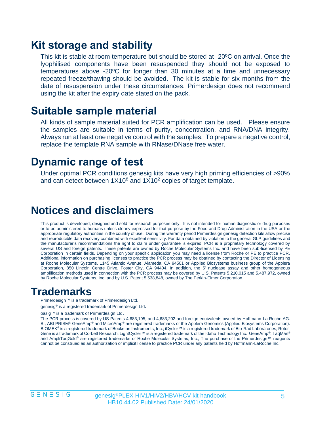### **Kit storage and stability**

This kit is stable at room temperature but should be stored at -20ºC on arrival. Once the lyophilised components have been resuspended they should not be exposed to temperatures above -20ºC for longer than 30 minutes at a time and unnecessary repeated freeze/thawing should be avoided. The kit is stable for six months from the date of resuspension under these circumstances. Primerdesign does not recommend using the kit after the expiry date stated on the pack.

### **Suitable sample material**

All kinds of sample material suited for PCR amplification can be used. Please ensure the samples are suitable in terms of purity, concentration, and RNA/DNA integrity. Always run at least one negative control with the samples. To prepare a negative control, replace the template RNA sample with RNase/DNase free water.

### **Dynamic range of test**

Under optimal PCR conditions genesig kits have very high priming efficiencies of >90% and can detect between  $1X10<sup>8</sup>$  and  $1X10<sup>2</sup>$  copies of target template.

### **Notices and disclaimers**

This product is developed, designed and sold for research purposes only. It is not intended for human diagnostic or drug purposes or to be administered to humans unless clearly expressed for that purpose by the Food and Drug Administration in the USA or the appropriate regulatory authorities in the country of use. During the warranty period Primerdesign genesig detection kits allow precise and reproducible data recovery combined with excellent sensitivity. For data obtained by violation to the general GLP guidelines and the manufacturer's recommendations the right to claim under guarantee is expired. PCR is a proprietary technology covered by several US and foreign patents. These patents are owned by Roche Molecular Systems Inc. and have been sub-licensed by PE Corporation in certain fields. Depending on your specific application you may need a license from Roche or PE to practice PCR. Additional information on purchasing licenses to practice the PCR process may be obtained by contacting the Director of Licensing at Roche Molecular Systems, 1145 Atlantic Avenue, Alameda, CA 94501 or Applied Biosystems business group of the Applera Corporation, 850 Lincoln Centre Drive, Foster City, CA 94404. In addition, the 5' nuclease assay and other homogeneous amplification methods used in connection with the PCR process may be covered by U.S. Patents 5,210,015 and 5,487,972, owned by Roche Molecular Systems, Inc, and by U.S. Patent 5,538,848, owned by The Perkin-Elmer Corporation.

### **Trademarks**

Primerdesign™ is a trademark of Primerdesign Ltd.

genesig<sup>®</sup> is a registered trademark of Primerdesign Ltd.

oasig™ is a trademark of Primerdesign Ltd.

The PCR process is covered by US Patents 4,683,195, and 4,683,202 and foreign equivalents owned by Hoffmann-La Roche AG. BI, ABI PRISM® GeneAmp® and MicroAmp® are registered trademarks of the Applera Genomics (Applied Biosystems Corporation). BIOMEK® is a registered trademark of Beckman Instruments, Inc.; iCycler™ is a registered trademark of Bio-Rad Laboratories, Rotor-Gene is a trademark of Corbett Research. LightCycler™ is a registered trademark of the Idaho Technology Inc. GeneAmp®, TaqMan® and AmpliTaqGold<sup>®</sup> are registered trademarks of Roche Molecular Systems, Inc., The purchase of the Primerdesign™ reagents cannot be construed as an authorization or implicit license to practice PCR under any patents held by Hoffmann-LaRoche Inc.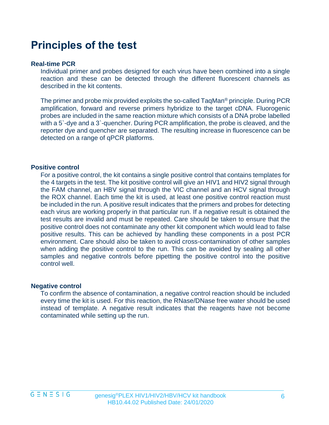### **Principles of the test**

#### **Real-time PCR**

Individual primer and probes designed for each virus have been combined into a single reaction and these can be detected through the different fluorescent channels as described in the kit contents.

The primer and probe mix provided exploits the so-called TaqMan® principle. During PCR amplification, forward and reverse primers hybridize to the target cDNA. Fluorogenic probes are included in the same reaction mixture which consists of a DNA probe labelled with a 5`-dye and a 3`-quencher. During PCR amplification, the probe is cleaved, and the reporter dye and quencher are separated. The resulting increase in fluorescence can be detected on a range of qPCR platforms.

#### **Positive control**

For a positive control, the kit contains a single positive control that contains templates for the 4 targets in the test. The kit positive control will give an HIV1 and HIV2 signal through the FAM channel, an HBV signal through the VIC channel and an HCV signal through the ROX channel. Each time the kit is used, at least one positive control reaction must be included in the run. A positive result indicates that the primers and probes for detecting each virus are working properly in that particular run. If a negative result is obtained the test results are invalid and must be repeated. Care should be taken to ensure that the positive control does not contaminate any other kit component which would lead to false positive results. This can be achieved by handling these components in a post PCR environment. Care should also be taken to avoid cross-contamination of other samples when adding the positive control to the run. This can be avoided by sealing all other samples and negative controls before pipetting the positive control into the positive control well.

#### **Negative control**

To confirm the absence of contamination, a negative control reaction should be included every time the kit is used. For this reaction, the RNase/DNase free water should be used instead of template. A negative result indicates that the reagents have not become contaminated while setting up the run.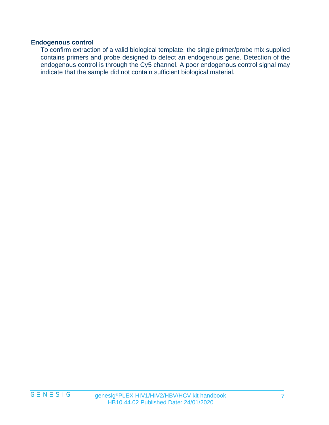#### **Endogenous control**

To confirm extraction of a valid biological template, the single primer/probe mix supplied contains primers and probe designed to detect an endogenous gene. Detection of the endogenous control is through the Cy5 channel. A poor endogenous control signal may indicate that the sample did not contain sufficient biological material.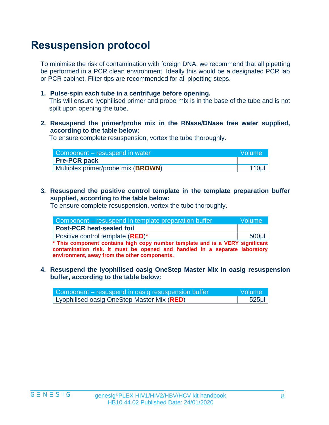# **Resuspension protocol**

To minimise the risk of contamination with foreign DNA, we recommend that all pipetting be performed in a PCR clean environment. Ideally this would be a designated PCR lab or PCR cabinet. Filter tips are recommended for all pipetting steps.

**1. Pulse-spin each tube in a centrifuge before opening.**

This will ensure lyophilised primer and probe mix is in the base of the tube and is not spilt upon opening the tube.

**2. Resuspend the primer/probe mix in the RNase/DNase free water supplied, according to the table below:** 

To ensure complete resuspension, vortex the tube thoroughly.

| Component – resuspend in water              | <b>Nolume</b>    |
|---------------------------------------------|------------------|
| <b>Pre-PCR pack</b>                         |                  |
| Multiplex primer/probe mix ( <b>BROWN</b> ) | 110 <sub>µ</sub> |

**3. Resuspend the positive control template in the template preparation buffer supplied, according to the table below:**

To ensure complete resuspension, vortex the tube thoroughly.

| Component – resuspend in template preparation buffer                          | Volume   |
|-------------------------------------------------------------------------------|----------|
| <b>Post-PCR heat-sealed foil</b>                                              |          |
| Positive control template (RED)*                                              | $500$ µl |
| * This component contains high copy number template and is a VERY significant |          |

**contamination risk. It must be opened and handled in a separate laboratory environment, away from the other components.**

**4. Resuspend the lyophilised oasig OneStep Master Mix in oasig resuspension buffer, according to the table below:**

| Component – resuspend in oasig resuspension buffer | <b>Nolume</b> |
|----------------------------------------------------|---------------|
| Lyophilised oasig OneStep Master Mix (RED)         | $525$ µl      |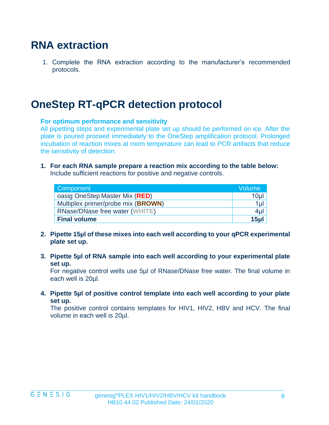### **RNA extraction**

1. Complete the RNA extraction according to the manufacturer's recommended protocols.

### **OneStep RT-qPCR detection protocol**

#### **For optimum performance and sensitivity**

All pipetting steps and experimental plate set up should be performed on ice. After the plate is poured proceed immediately to the OneStep amplification protocol. Prolonged incubation of reaction mixes at room temperature can lead to PCR artifacts that reduce the sensitivity of detection.

**1. For each RNA sample prepare a reaction mix according to the table below:**  Include sufficient reactions for positive and negative controls.

| <b>Component</b>                   | Volume          |
|------------------------------------|-----------------|
| oasig OneStep Master Mix (RED)     | 10 <sub>µ</sub> |
| Multiplex primer/probe mix (BROWN) | $1 \mu$         |
| RNase/DNase free water (WHITE)     | $4 \mu$         |
| <b>Final volume</b>                | 15ul            |

- **2. Pipette 15µl of these mixes into each well according to your qPCR experimental plate set up.**
- **3. Pipette 5µl of RNA sample into each well according to your experimental plate set up.**

For negative control wells use 5µl of RNase/DNase free water. The final volume in each well is 20µl.

**4. Pipette 5µl of positive control template into each well according to your plate set up.** 

The positive control contains templates for HIV1, HIV2, HBV and HCV. The final volume in each well is 20µl.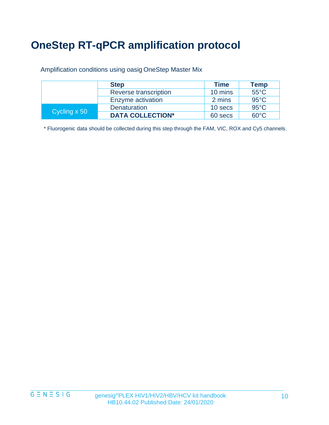# **OneStep RT-qPCR amplification protocol**

Amplification conditions using oasig OneStep Master Mix

|              | <b>Step</b>             | <b>Time</b> | Temp           |
|--------------|-------------------------|-------------|----------------|
|              | Reverse transcription   | 10 mins     | $55^{\circ}$ C |
|              | Enzyme activation       | 2 mins      | $95^{\circ}$ C |
| Cycling x 50 | Denaturation            | 10 secs     | $95^{\circ}$ C |
|              | <b>DATA COLLECTION*</b> | 60 secs     | $60^{\circ}$ C |

\* Fluorogenic data should be collected during this step through the FAM, VIC, ROX and Cy5 channels.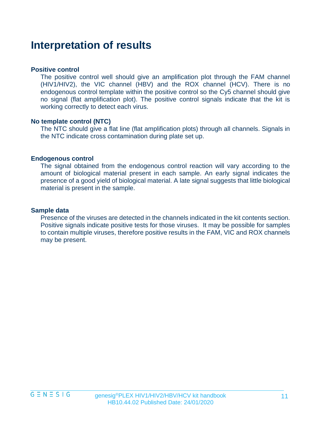### **Interpretation of results**

#### **Positive control**

The positive control well should give an amplification plot through the FAM channel (HIV1/HIV2), the VIC channel (HBV) and the ROX channel (HCV). There is no endogenous control template within the positive control so the Cy5 channel should give no signal (flat amplification plot). The positive control signals indicate that the kit is working correctly to detect each virus.

#### **No template control (NTC)**

The NTC should give a flat line (flat amplification plots) through all channels. Signals in the NTC indicate cross contamination during plate set up.

#### **Endogenous control**

The signal obtained from the endogenous control reaction will vary according to the amount of biological material present in each sample. An early signal indicates the presence of a good yield of biological material. A late signal suggests that little biological material is present in the sample.

#### **Sample data**

Presence of the viruses are detected in the channels indicated in the kit contents section. Positive signals indicate positive tests for those viruses. It may be possible for samples to contain multiple viruses, therefore positive results in the FAM, VIC and ROX channels may be present.